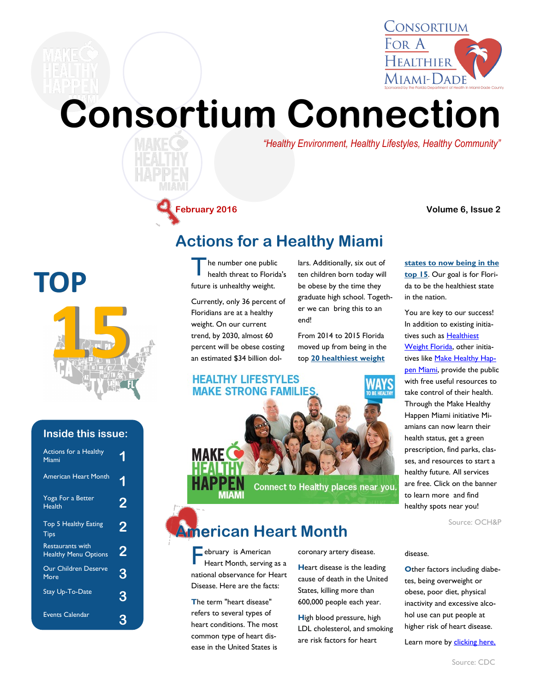

# **Consortium Connection**

*"Healthy Environment, Healthy Lifestyles, Healthy Community"*

**February 2016 Volume 6, Issue 2**

### **Actions for a Healthy Miami**

T he number one public health threat to Florida's future is unhealthy weight.

Currently, only 36 percent of Floridians are at a healthy weight. On our current trend, by 2030, almost 60 percent will be obese costing an estimated \$34 billion dollars. Additionally, six out of ten children born today will be obese by the time they graduate high school. Together we can bring this to an end!

From 2014 to 2015 Florida moved up from being in the top **[20 healthiest weight](http://issuu.com/floridahealth/docs/impact_report_2014-2015)** 

#### **HEALTHY LIFESTYLES MAKE STRONG FAMILIES**

**[states to now being in the](http://issuu.com/floridahealth/docs/impact_report_2014-2015)  [top 15](http://issuu.com/floridahealth/docs/impact_report_2014-2015)**. Our goal is for Florida to be the healthiest state in the nation.

You are key to our success! In addition to existing initiatives such as Healthiest [Weight Florida,](http://www.healthiestweightflorida.com/?utm_source=article) other initia-tives like [Make Healthy Hap](http://www.healthymiamidade.org/make-healthy-happen-miami/make-healthy-happen-map)[pen Miami,](http://www.healthymiamidade.org/make-healthy-happen-miami/make-healthy-happen-map) provide the public with free useful resources to take control of their health. Through the Make Healthy Happen Miami initiative Miamians can now learn their health status, get a green prescription, find parks, classes, and resources to start a healthy future. All services are free. Click on the banner to learn more and find healthy spots near you!

Source: OCH&P

#### disease.

**Other factors including diabe**tes, being overweight or obese, poor diet, physical inactivity and excessive alcohol use can put people at higher risk of heart disease.

Learn more by clicking here.



**15** 

**TOP**

| <b>Actions for a Healthy</b><br>Miami                  | 1 |
|--------------------------------------------------------|---|
| <b>American Heart Month</b>                            | 1 |
| Yoga For a Better<br>Health                            | 2 |
| Top 5 Healthy Eating<br>Tips                           | 2 |
| <b>Restaurants with</b><br><b>Healthy Menu Options</b> | 2 |
| <b>Our Children Deserve</b><br>More                    | 3 |
| Stay Up-To-Date                                        | 3 |
| <b>Events Calendar</b>                                 |   |



Connect to Healthy places near you

### **American Heart Month**

**F**ebruary is American<br>Heart Month, serving Heart Month, serving as a national observance for Heart Disease. Here are the facts:

**T**he term "heart disease" refers to several types of heart conditions. The most common type of heart disease in the United States is

coronary artery disease.

**H**eart disease is the leading cause of death in the United States, killing more than 600,000 people each year.

**H**igh blood pressure, high LDL cholesterol, and smoking are risk factors for heart

Source: CDC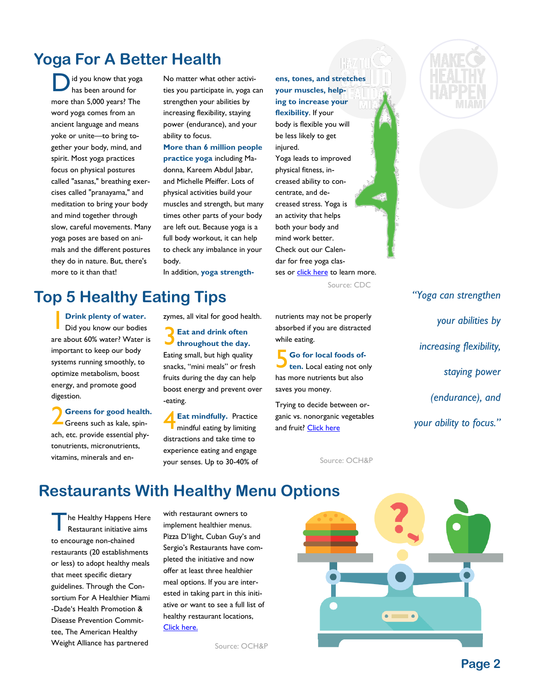### **Yoga For A Better Health**

D id you know that yoga has been around for more than 5,000 years? The word yoga comes from an ancient language and means yoke or unite—to bring together your body, mind, and spirit. Most yoga practices focus on physical postures called "asanas," breathing exercises called "pranayama," and meditation to bring your body and mind together through slow, careful movements. Many yoga poses are based on animals and the different postures they do in nature. But, there's more to it than that!

No matter what other activities you participate in, yoga can strengthen your abilities by increasing flexibility, staying power (endurance), and your ability to focus.

**More than 6 million people practice yoga** including Madonna, Kareem Abdul Jabar, and Michelle Pfeiffer. Lots of physical activities build your muscles and strength, but many times other parts of your body are left out. Because yoga is a full body workout, it can help to check any imbalance in your body.

In addition, **yoga strength-**

### **Top 5 Healthy Eating Tips**

1 **Drink plenty of water.**  Did you know our bodies are about 60% water? Water is important to keep our body systems running smoothly, to optimize metabolism, boost energy, and promote good digestion.

2 **Greens for good health.**  Greens such as kale, spinach, etc. provide essential phytonutrients, micronutrients, vitamins, minerals and enzymes, all vital for good health.

3 **Eat and drink often throughout the day.**  Eating small, but high quality snacks, "mini meals" or fresh fruits during the day can help boost energy and prevent over -eating.

4 **Eat mindfully.** Practice mindful eating by limiting distractions and take time to experience eating and engage your senses. Up to 30-40% of

**ens, tones, and stretches your muscles, helping to increase your flexibility**. If your body is flexible you will be less likely to get injured. Yoga leads to improved physical fitness, increased ability to concentrate, and decreased stress. Yoga is an activity that helps both your body and mind work better. Check out our Calendar for free yoga classes or [click here](http://www.cdc.gov/bam/activity/cards/yoga.html) to learn more.

Source: CDC

nutrients may not be properly absorbed if you are distracted while eating.

5 **Go for local foods often.** Local eating not only has more nutrients but also saves you money.

Trying to decide between organic vs. nonorganic vegetables and fruit? [Click here](http://www.goeorganics.com/EWG-shoppers-guide.pdf)

Source: OCH&P



*"Yoga can strengthen your abilities by increasing flexibility, staying power (endurance), and your ability to focus."* 

### **Restaurants With Healthy Menu Options**

T he Healthy Happens Here Restaurant initiative aims to encourage non-chained restaurants (20 establishments or less) to adopt healthy meals that meet specific dietary guidelines. Through the Consortium For A Healthier Miami -Dade's Health Promotion & Disease Prevention Committee, The American Healthy Weight Alliance has partnered

with restaurant owners to implement healthier menus. Pizza D'light, Cuban Guy's and Sergio's Restaurants have completed the initiative and now offer at least three healthier meal options. If you are interested in taking part in this initiative or want to see a full list of healthy restaurant locations, [Click here.](http://www.healthymiamidade.org/committees/health-promotion-and-disease-prevention)

Source: OCH&P